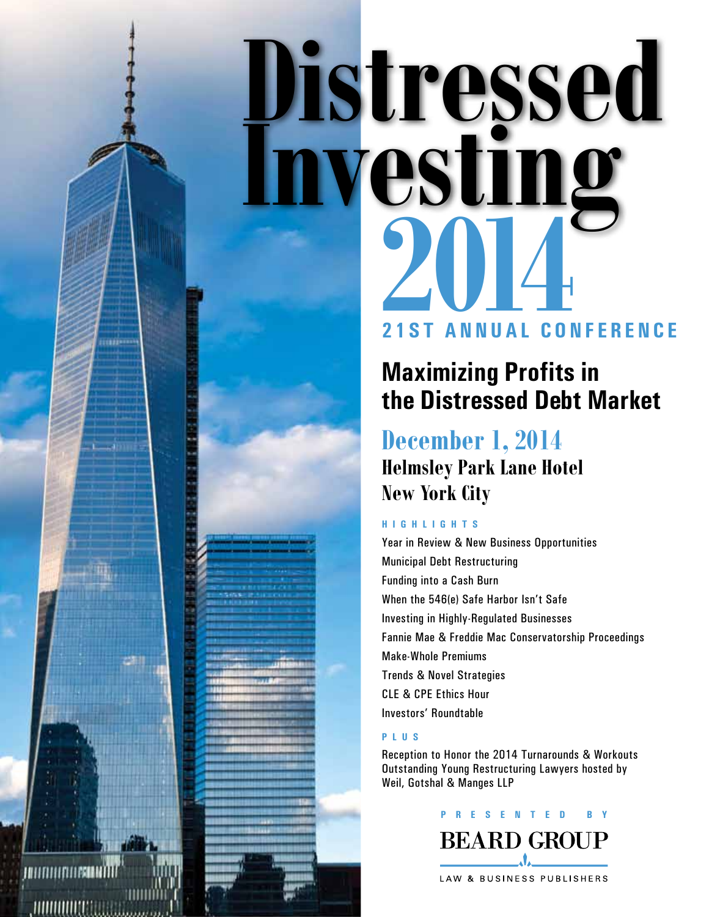# **21st Annu a l Conferenc e Distressed 2014 Investi**

### **Maximizing Profits in the Distressed Debt Market**

### **December 1, 2014 Helmsley Park Lane Hotel New York City**

#### **highlights**

Year in Review & New Business Opportunities Municipal Debt Restructuring Funding into a Cash Burn When the 546(e) Safe Harbor Isn't Safe Investing in Highly-Regulated Businesses Fannie Mae & Freddie Mac Conservatorship Proceedings Make-Whole Premiums Trends & Novel Strategies CLE & CPE Ethics Hour Investors' Roundtable

#### **plus**

Reception to Honor the 2014 Turnarounds & Workouts Outstanding Young Restructuring Lawyers hosted by Weil, Gotshal & Manges LLP

**PRESENTE D BY**



I ALITTI I LITTI ERIA NT <u>,numuut</u>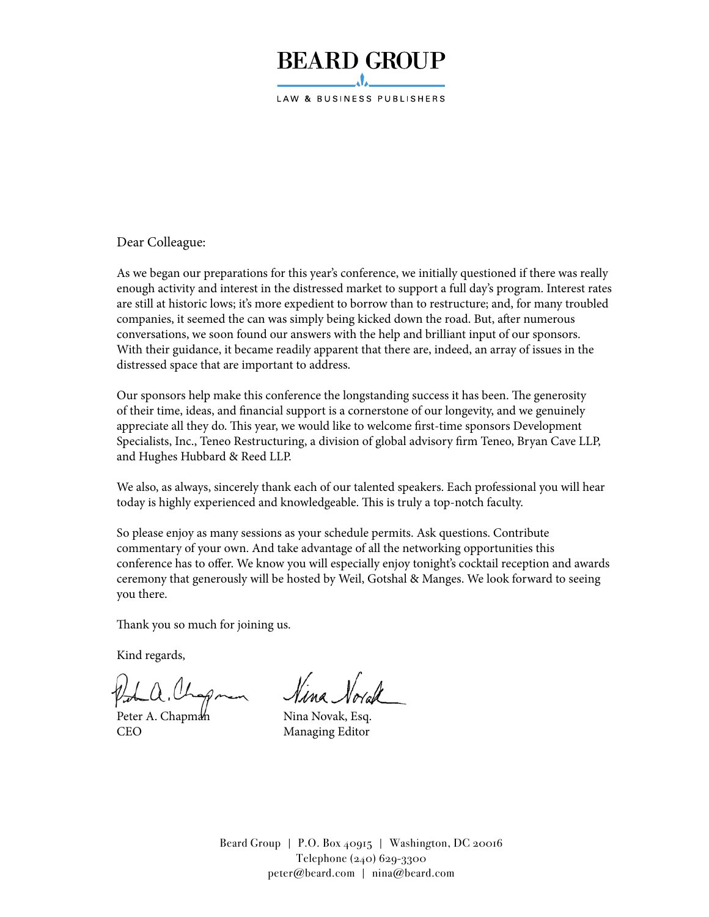### **BEARD GROUP**

LAW & BUSINESS PUBLISHERS

Dear Colleague:

As we began our preparations for this year's conference, we initially questioned if there was really enough activity and interest in the distressed market to support a full day's program. Interest rates are still at historic lows; it's more expedient to borrow than to restructure; and, for many troubled companies, it seemed the can was simply being kicked down the road. But, after numerous conversations, we soon found our answers with the help and brilliant input of our sponsors. With their guidance, it became readily apparent that there are, indeed, an array of issues in the distressed space that are important to address.

Our sponsors help make this conference the longstanding success it has been. The generosity of their time, ideas, and financial support is a cornerstone of our longevity, and we genuinely appreciate all they do. This year, we would like to welcome first-time sponsors Development Specialists, Inc., Teneo Restructuring, a division of global advisory firm Teneo, Bryan Cave LLP, and Hughes Hubbard & Reed LLP.

We also, as always, sincerely thank each of our talented speakers. Each professional you will hear today is highly experienced and knowledgeable. This is truly a top-notch faculty.

So please enjoy as many sessions as your schedule permits. Ask questions. Contribute commentary of your own. And take advantage of all the networking opportunities this conference has to offer. We know you will especially enjoy tonight's cocktail reception and awards ceremony that generously will be hosted by Weil, Gotshal & Manges. We look forward to seeing you there.

Thank you so much for joining us.

Kind regards,

Peter A. Chapman Nina Novak, Esq. CEO Managing Editor

Beard Group | P.O. Box  $40915$  | Washington, DC 20016 Telephone (240) 629-3300 peter@beard.com | nina@beard.com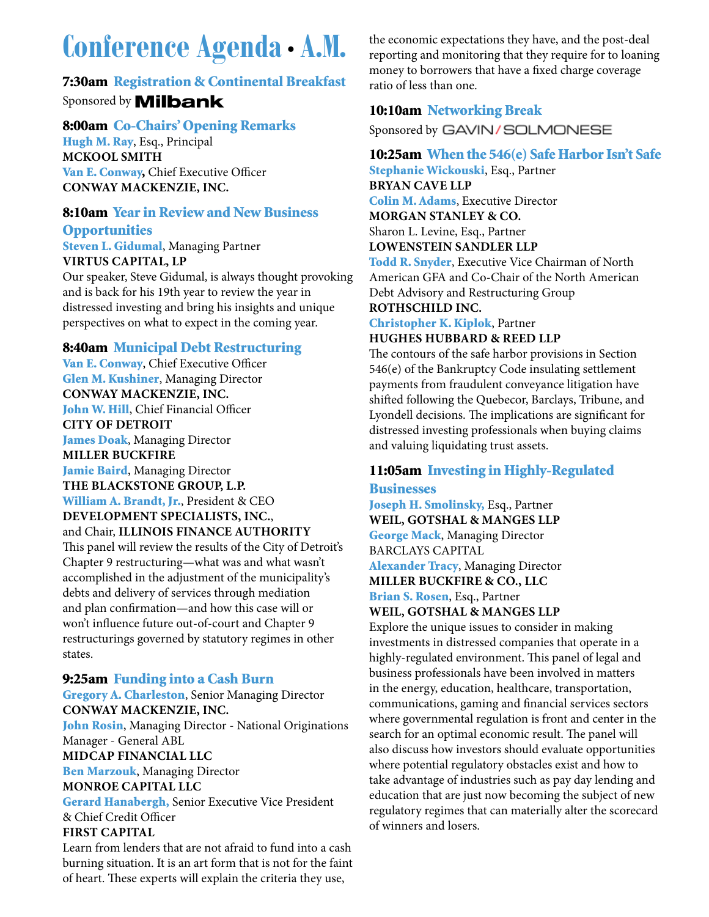### **Conference Agenda• A.M.**

#### 7:30am Registration & Continental Breakfast Sponsored by **Milbank**

#### 8:00am Co-Chairs' Opening Remarks

Hugh M. Ray, Esq., Principal **McKOOL SMITH** Van E. Conway, Chief Executive Officer **CONWAY MacKENZIE, INC.**

#### 8:10am Year in Review and New Business

#### **Opportunities**

Steven L. Gidumal, Managing Partner **VIRTUS CAPITAL, LP** 

Our speaker, Steve Gidumal, is always thought provoking and is back for his 19th year to review the year in distressed investing and bring his insights and unique perspectives on what to expect in the coming year.

#### 8:40am Municipal Debt Restructuring

Van E. Conway, Chief Executive Officer Glen M. Kushiner, Managing Director **CONWAY MacKENZIE, INC.** John W. Hill, Chief Financial Officer **CITY OF DETROIT** James Doak, Managing Director **MILLER BUCKFIRE** Jamie Baird, Managing Director **THE BLACKSTONE GROUP, L.P.** William A. Brandt, Jr., President & CEO **DEVELOPMENT SPECIALISTS, INC.**, and Chair, **Illinois Finance Authority** This panel will review the results of the City of Detroit's Chapter 9 restructuring—what was and what wasn't accomplished in the adjustment of the municipality's debts and delivery of services through mediation

and plan confirmation—and how this case will or won't influence future out-of-court and Chapter 9 restructurings governed by statutory regimes in other states.

#### 9:25am Funding into a Cash Burn

Gregory A. Charleston, Senior Managing Director **CONWAY MacKENZIE, INC.** John Rosin, Managing Director - National Originations Manager - General ABL **MIDCAP FINANCIAL LLC** Ben Marzouk, Managing Director **MONROE CAPITAL LLC** Gerard Hanabergh, Senior Executive Vice President & Chief Credit Officer **FIRST CAPITAL** 

Learn from lenders that are not afraid to fund into a cash burning situation. It is an art form that is not for the faint of heart. These experts will explain the criteria they use,

the economic expectations they have, and the post-deal reporting and monitoring that they require for to loaning money to borrowers that have a fixed charge coverage ratio of less than one.

#### 10:10am Networking Break

Sponsored by GAVIN/SOLMONESE

#### 10:25am When the 546(e) Safe Harbor Isn't Safe

Stephanie Wickouski, Esq., Partner **BRYAN CAVE LLP** Colin M. Adams, Executive Director **Morgan Stanley & Co.** Sharon L. Levine, Esq., Partner **LOWENSTEIN SANDLER LLP**

Todd R. Snyder, Executive Vice Chairman of North American GFA and Co-Chair of the North American Debt Advisory and Restructuring Group **ROTHSCHILD INC.**

#### Christopher K. Kiplok, Partner

**HUGHES HUBBARD & REED LLP** 

The contours of the safe harbor provisions in Section 546(e) of the Bankruptcy Code insulating settlement payments from fraudulent conveyance litigation have shifted following the Quebecor, Barclays, Tribune, and Lyondell decisions. The implications are significant for distressed investing professionals when buying claims and valuing liquidating trust assets.

#### 11:05am Investing in Highly-Regulated **Businesses**

Joseph H. Smolinsky, Esq., Partner **WEIL, GOTSHAL & MANGES LLP** George Mack, Managing Director BARCLAYS CAPITAL Alexander Tracy, Managing Director **MILLER BUCKFIRE & CO., LLC** Brian S. Rosen, Esq., Partner

**WEIL, GOTSHAL & MANGES LLP**

Explore the unique issues to consider in making investments in distressed companies that operate in a highly-regulated environment. This panel of legal and business professionals have been involved in matters in the energy, education, healthcare, transportation, communications, gaming and financial services sectors where governmental regulation is front and center in the search for an optimal economic result. The panel will also discuss how investors should evaluate opportunities where potential regulatory obstacles exist and how to take advantage of industries such as pay day lending and education that are just now becoming the subject of new regulatory regimes that can materially alter the scorecard of winners and losers.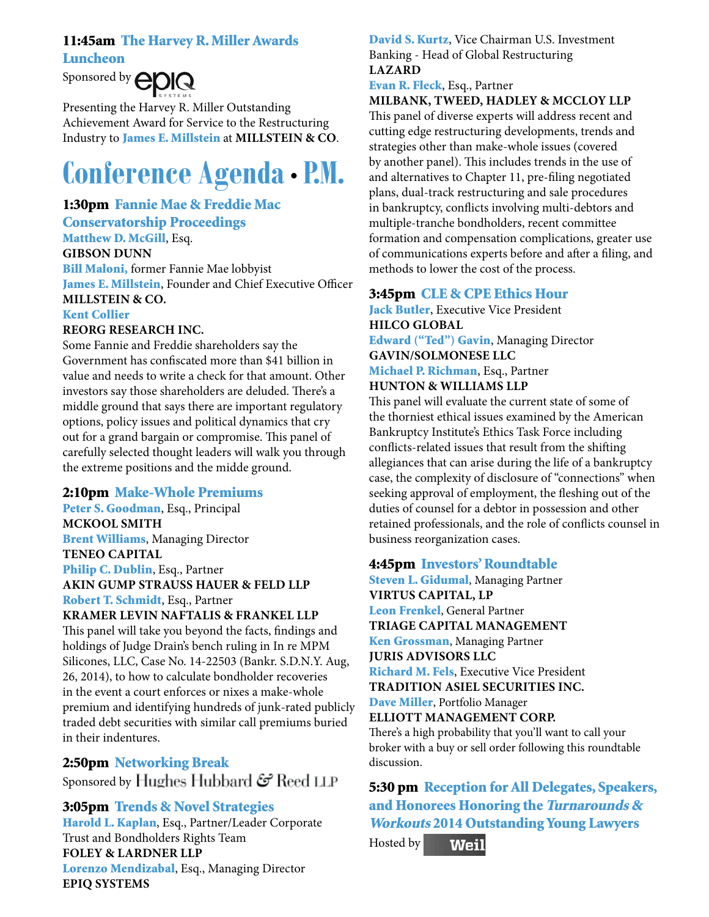#### 11:45am The Harvey R. Miller Awards

Luncheon



Presenting the Harvey R. Miller Outstanding Achievement Award for Service to the Restructuring Industry to James E. Millstein at **Millstein & Co**.

### **Conference Agenda• P.M.**

#### 1:30pm Fannie Mae & Freddie Mac

Conservatorship Proceedings Matthew D. McGill, Esq. **GIBSON DUNN** Bill Maloni, former Fannie Mae lobbyist James E. Millstein, Founder and Chief Executive Officer **MILLSTEIN & CO.** Kent Collier

#### **REORG RESEARCH INC.**

Some Fannie and Freddie shareholders say the Government has confiscated more than \$41 billion in value and needs to write a check for that amount. Other investors say those shareholders are deluded. There's a middle ground that says there are important regulatory options, policy issues and political dynamics that cry out for a grand bargain or compromise. This panel of carefully selected thought leaders will walk you through the extreme positions and the midde ground.

#### 2:10pm Make-Whole Premiums

Peter S. Goodman, Esq., Principal **McKOOL SMITH** Brent Williams, Managing Director **TENEO CAPITAL** Philip C. Dublin, Esq., Partner **AKIN GUMP STRAUSS HAUER & FELD LLP** Robert T. Schmidt, Esq., Partner **KRAMER LEVIN NAFTALIS & FRANKEL LLP** This panel will take you beyond the facts, findings and holdings of Judge Drain's bench ruling in In re MPM Silicones, LLC, Case No. 14-22503 (Bankr. S.D.N.Y. Aug, 26, 2014), to how to calculate bondholder recoveries in the event a court enforces or nixes a make-whole premium and identifying hundreds of junk-rated publicly traded debt securities with similar call premiums buried in their indentures.

2:50pm Networking Break Sponsored by Hughes Hubbard  $\mathcal{G}$  Reed LLP

3:05pm Trends & Novel Strategies Harold L. Kaplan, Esq., Partner/Leader Corporate Trust and Bondholders Rights Team **FOLEY & LARDNER LLP**

#### Lorenzo Mendizabal, Esq., Managing Director **EPIQ SYSTEMS**

#### David S. Kurtz, Vice Chairman U.S. Investment Banking - Head of Global Restructuring **LAZARD**

Evan R. Fleck, Esq., Partner

#### **MILBANK, TWEED, HADLEY & McCLOY LLP**

This panel of diverse experts will address recent and cutting edge restructuring developments, trends and strategies other than make-whole issues (covered by another panel). This includes trends in the use of and alternatives to Chapter 11, pre-filing negotiated plans, dual-track restructuring and sale procedures in bankruptcy, conflicts involving multi-debtors and multiple-tranche bondholders, recent committee formation and compensation complications, greater use of communications experts before and after a filing, and methods to lower the cost of the process.

#### 3:45pm CLE & CPE Ethics Hour

Jack Butler, Executive Vice President **HILCO GLOBAL**

Edward ("Ted") Gavin, Managing Director **GAVIN/SOLMONESE LLC**

#### Michael P. Richman, Esq., Partner **HUNTON & WILLIAMS LLP**

This panel will evaluate the current state of some of the thorniest ethical issues examined by the American Bankruptcy Institute's Ethics Task Force including conflicts-related issues that result from the shifting allegiances that can arise during the life of a bankruptcy case, the complexity of disclosure of "connections" when seeking approval of employment, the fleshing out of the duties of counsel for a debtor in possession and other retained professionals, and the role of conflicts counsel in business reorganization cases.

#### 4:45pm Investors' Roundtable

Steven L. Gidumal, Managing Partner **VIRTUS CAPITAL, LP** Leon Frenkel, General Partner **TRIAGE CAPITAL MANAGEMENT** Ken Grossman, Managing Partner **JURIS ADVISORS LLC** Richard M. Fels, Executive Vice President **TRADITION ASIEL SECURITIES INC.** Dave Miller, Portfolio Manager **Elliott Management Corp.**  There's a high probability that you'll want to call your broker with a buy or sell order following this roundtable discussion.

5:30 pm Reception for All Delegates, Speakers, and Honorees Honoring the Turnarounds & Workouts 2014 Outstanding Young Lawyers Hosted by**Weil**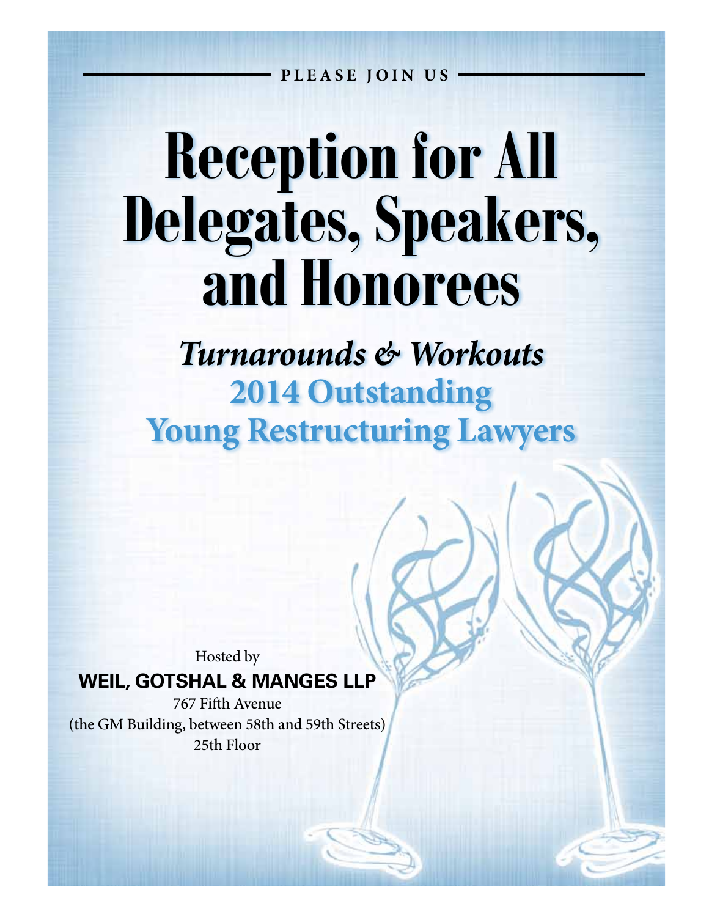**PLEASE JOIN US**

## **Reception for All Delegates, Speakers, and Honorees**

*Turnarounds & Workouts* **2014 Outstanding Young Restructuring Lawyers**

Hosted by

#### **WEIL, GOTSHAL & MANGES LLP**

767 Fifth Avenue (the GM Building, between 58th and 59th Streets) 25th Floor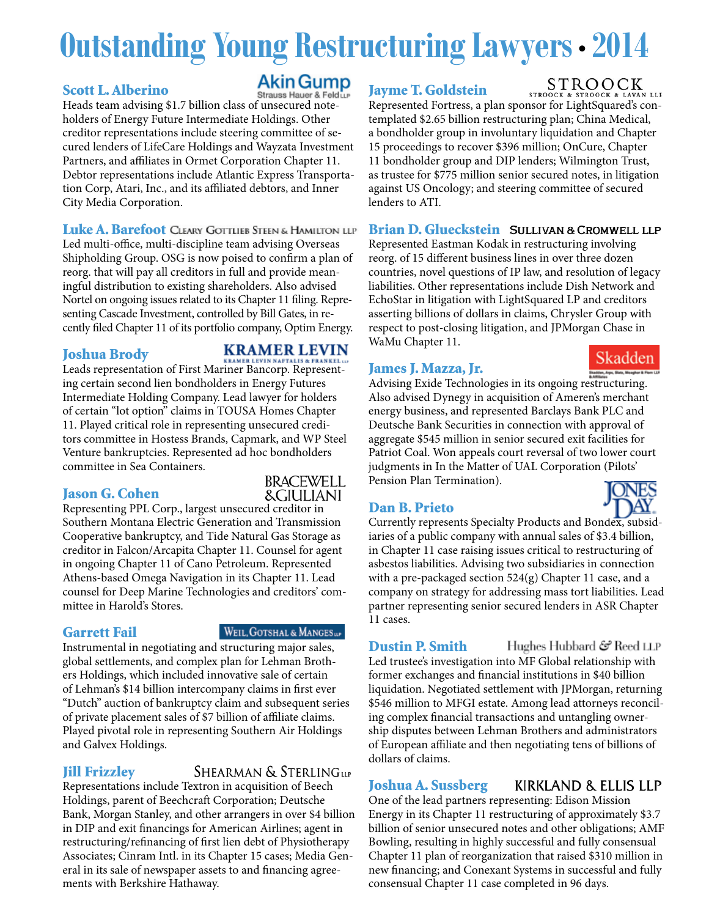### **Outstanding Young Restructuring Lawyers •2014**

#### Scott L. Alberino

#### Akin Gump Strauss Hauer & Feldt

Heads team advising \$1.7 billion class of unsecured noteholders of Energy Future Intermediate Holdings. Other creditor representations include steering committee of secured lenders of LifeCare Holdings and Wayzata Investment Partners, and affiliates in Ormet Corporation Chapter 11. Debtor representations include Atlantic Express Transportation Corp, Atari, Inc., and its affiliated debtors, and Inner City Media Corporation.

Luke A. Barefoot CLEARY GOTTLIEB STEEN & HAMILTON LLP Led multi-office, multi-discipline team advising Overseas Shipholding Group. OSG is now poised to confirm a plan of reorg. that will pay all creditors in full and provide meaningful distribution to existing shareholders. Also advised Nortel on ongoing issues related to its Chapter 11 filing. Representing Cascade Investment, controlled by Bill Gates, in recently filed Chapter 11 of its portfolio company, Optim Energy.

#### Joshua Brody

#### **KRAMER LEVIN**

Leads representation of First Mariner Bancorp. Representing certain second lien bondholders in Energy Futures Intermediate Holding Company. Lead lawyer for holders of certain "lot option" claims in TOUSA Homes Chapter 11. Played critical role in representing unsecured creditors committee in Hostess Brands, Capmark, and WP Steel Venture bankruptcies. Represented ad hoc bondholders committee in Sea Containers.

#### Jason G. Cohen



Representing PPL Corp., largest unsecured creditor in Southern Montana Electric Generation and Transmission Cooperative bankruptcy, and Tide Natural Gas Storage as creditor in Falcon/Arcapita Chapter 11. Counsel for agent in ongoing Chapter 11 of Cano Petroleum. Represented Athens-based Omega Navigation in its Chapter 11. Lead counsel for Deep Marine Technologies and creditors' committee in Harold's Stores.

#### Garrett Fail

#### WEIL, GOTSHAL & MANGESup

Instrumental in negotiating and structuring major sales, global settlements, and complex plan for Lehman Brothers Holdings, which included innovative sale of certain of Lehman's \$14 billion intercompany claims in first ever "Dutch" auction of bankruptcy claim and subsequent series of private placement sales of \$7 billion of affiliate claims. Played pivotal role in representing Southern Air Holdings and Galvex Holdings.

#### Jill Frizzley

SHEARMAN & STERLING LLP

Representations include Textron in acquisition of Beech Holdings, parent of Beechcraft Corporation; Deutsche Bank, Morgan Stanley, and other arrangers in over \$4 billion in DIP and exit financings for American Airlines; agent in restructuring/refinancing of first lien debt of Physiotherapy Associates; Cinram Intl. in its Chapter 15 cases; Media General in its sale of newspaper assets to and financing agreements with Berkshire Hathaway.

#### Jayme T. Goldstein

**STR** Represented Fortress, a plan sponsor for LightSquared's contemplated \$2.65 billion restructuring plan; China Medical, a bondholder group in involuntary liquidation and Chapter 15 proceedings to recover \$396 million; OnCure, Chapter 11 bondholder group and DIP lenders; Wilmington Trust, as trustee for \$775 million senior secured notes, in litigation against US Oncology; and steering committee of secured lenders to ATI.

#### Brian D. Glueckstein SULLIVAN & CROMWELL LLP

Represented Eastman Kodak in restructuring involving reorg. of 15 different business lines in over three dozen countries, novel questions of IP law, and resolution of legacy liabilities. Other representations include Dish Network and EchoStar in litigation with LightSquared LP and creditors asserting billions of dollars in claims, Chrysler Group with respect to post-closing litigation, and JPMorgan Chase in WaMu Chapter 11.

#### James J. Mazza, Jr.

ter, Age, State, Meagher & Advising Exide Technologies in its ongoing restructuring. Also advised Dynegy in acquisition of Ameren's merchant energy business, and represented Barclays Bank PLC and Deutsche Bank Securities in connection with approval of aggregate \$545 million in senior secured exit facilities for Patriot Coal. Won appeals court reversal of two lower court judgments in In the Matter of UAL Corporation (Pilots' Pension Plan Termination).

#### Dan B. Prieto

Currently represents Specialty Products and Bondex, subsidiaries of a public company with annual sales of \$3.4 billion, in Chapter 11 case raising issues critical to restructuring of asbestos liabilities. Advising two subsidiaries in connection with a pre-packaged section 524(g) Chapter 11 case, and a company on strategy for addressing mass tort liabilities. Lead partner representing senior secured lenders in ASR Chapter 11 cases.

Dustin P. Smith Reed LLP ٹی Hubbard ک Led trustee's investigation into MF Global relationship with former exchanges and financial institutions in \$40 billion liquidation. Negotiated settlement with JPMorgan, returning \$546 million to MFGI estate. Among lead attorneys reconciling complex financial transactions and untangling ownership disputes between Lehman Brothers and administrators of European affiliate and then negotiating tens of billions of dollars of claims.

#### Joshua A. Sussberg

KIRKLAND & ELLIS LLP

One of the lead partners representing: Edison Mission Energy in its Chapter 11 restructuring of approximately \$3.7 billion of senior unsecured notes and other obligations; AMF Bowling, resulting in highly successful and fully consensual Chapter 11 plan of reorganization that raised \$310 million in new financing; and Conexant Systems in successful and fully consensual Chapter 11 case completed in 96 days.

#### STROOCK



Skadden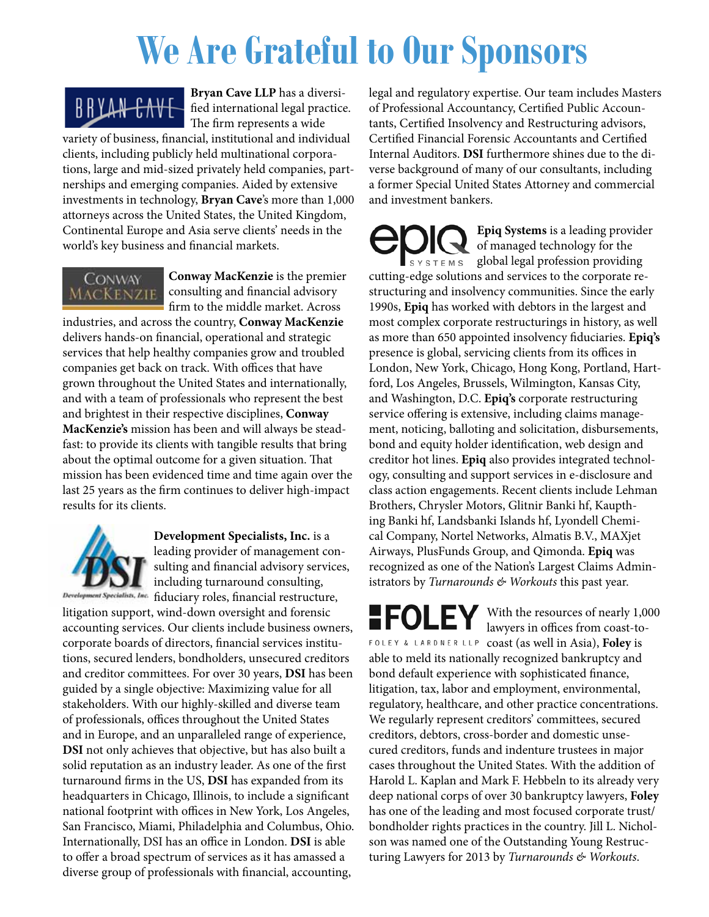## **We Are Grateful to Our Sponsors**



**Bryan Cave LLP** has a diversified international legal practice. The firm represents a wide

variety of business, financial, institutional and individual clients, including publicly held multinational corporations, large and mid-sized privately held companies, partnerships and emerging companies. Aided by extensive investments in technology, **Bryan Cave**'s more than 1,000 attorneys across the United States, the United Kingdom, Continental Europe and Asia serve clients' needs in the world's key business and financial markets.



**Conway MacKenzie** is the premier consulting and financial advisory firm to the middle market. Across

industries, and across the country, **Conway MacKenzie** delivers hands-on financial, operational and strategic services that help healthy companies grow and troubled companies get back on track. With offices that have grown throughout the United States and internationally, and with a team of professionals who represent the best and brightest in their respective disciplines, **Conway MacKenzie's** mission has been and will always be steadfast: to provide its clients with tangible results that bring about the optimal outcome for a given situation. That mission has been evidenced time and time again over the last 25 years as the firm continues to deliver high-impact results for its clients.



**Development Specialists, Inc.** is a leading provider of management consulting and financial advisory services, including turnaround consulting, Development Specialists, Inc. fiduciary roles, financial restructure,

litigation support, wind-down oversight and forensic accounting services. Our clients include business owners, corporate boards of directors, financial services institutions, secured lenders, bondholders, unsecured creditors and creditor committees. For over 30 years, **DSI** has been guided by a single objective: Maximizing value for all stakeholders. With our highly-skilled and diverse team of professionals, offices throughout the United States and in Europe, and an unparalleled range of experience, **DSI** not only achieves that objective, but has also built a solid reputation as an industry leader. As one of the first turnaround firms in the US, **DSI** has expanded from its headquarters in Chicago, Illinois, to include a significant national footprint with offices in New York, Los Angeles, San Francisco, Miami, Philadelphia and Columbus, Ohio. Internationally, DSI has an office in London. **DSI** is able to offer a broad spectrum of services as it has amassed a diverse group of professionals with financial, accounting,

legal and regulatory expertise. Our team includes Masters of Professional Accountancy, Certified Public Accountants, Certified Insolvency and Restructuring advisors, Certified Financial Forensic Accountants and Certified Internal Auditors. **DSI** furthermore shines due to the diverse background of many of our consultants, including a former Special United States Attorney and commercial and investment bankers.

**Epiq Systems** is a leading provider of managed technology for the  $S Y S T E M S$  global legal profession providing cutting-edge solutions and services to the corporate restructuring and insolvency communities. Since the early 1990s, **Epiq** has worked with debtors in the largest and most complex corporate restructurings in history, as well as more than 650 appointed insolvency fiduciaries. **Epiq's** presence is global, servicing clients from its offices in London, New York, Chicago, Hong Kong, Portland, Hartford, Los Angeles, Brussels, Wilmington, Kansas City, and Washington, D.C. **Epiq's** corporate restructuring service offering is extensive, including claims management, noticing, balloting and solicitation, disbursements, bond and equity holder identification, web design and creditor hot lines. **Epiq** also provides integrated technology, consulting and support services in e-disclosure and class action engagements. Recent clients include Lehman Brothers, Chrysler Motors, Glitnir Banki hf, Kaupthing Banki hf, Landsbanki Islands hf, Lyondell Chemical Company, Nortel Networks, Almatis B.V., MAXjet Airways, PlusFunds Group, and Qimonda. **Epiq** was recognized as one of the Nation's Largest Claims Administrators by *Turnarounds & Workouts* this past year.

With the resources of nearly 1,000 lawyers in offices from coast-to-FOLEY & LARDNER LLP coast (as well in Asia), Foley is able to meld its nationally recognized bankruptcy and bond default experience with sophisticated finance, litigation, tax, labor and employment, environmental, regulatory, healthcare, and other practice concentrations. We regularly represent creditors' committees, secured creditors, debtors, cross-border and domestic unsecured creditors, funds and indenture trustees in major cases throughout the United States. With the addition of Harold L. Kaplan and Mark F. Hebbeln to its already very deep national corps of over 30 bankruptcy lawyers, **Foley** has one of the leading and most focused corporate trust/ bondholder rights practices in the country. Jill L. Nicholson was named one of the Outstanding Young Restructuring Lawyers for 2013 by *Turnarounds & Workouts*.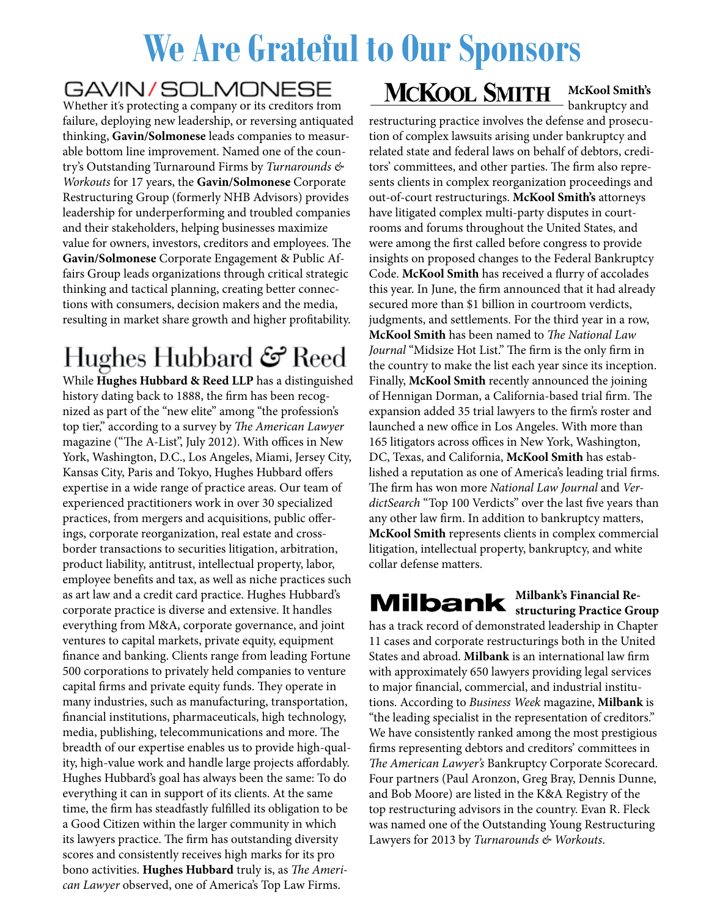## **We Are Grateful to Our Sponsors**

#### GAVIN/SOLMONESE

Whether it's protecting a company or its creditors from failure, deploying new leadership, or reversing antiquated thinking, **Gavin/Solmonese** leads companies to measurable bottom line improvement. Named one of the country's Outstanding Turnaround Firms by *Turnarounds & Workouts* for 17 years, the **Gavin/Solmonese** Corporate Restructuring Group (formerly NHB Advisors) provides leadership for underperforming and troubled companies and their stakeholders, helping businesses maximize value for owners, investors, creditors and employees. The **Gavin/Solmonese** Corporate Engagement & Public Affairs Group leads organizations through critical strategic thinking and tactical planning, creating better connections with consumers, decision makers and the media, resulting in market share growth and higher profitability.

### Hughes Hubbard & Reed

While **Hughes Hubbard & Reed LLP** has a distinguished history dating back to 1888, the firm has been recognized as part of the "new elite" among "the profession's top tier," according to a survey by *The American Lawyer* magazine ("The A-List", July 2012). With offices in New York, Washington, D.C., Los Angeles, Miami, Jersey City, Kansas City, Paris and Tokyo, Hughes Hubbard offers expertise in a wide range of practice areas. Our team of experienced practitioners work in over 30 specialized practices, from mergers and acquisitions, public offerings, corporate reorganization, real estate and crossborder transactions to securities litigation, arbitration, product liability, antitrust, intellectual property, labor, employee benefits and tax, as well as niche practices such as art law and a credit card practice. Hughes Hubbard's corporate practice is diverse and extensive. It handles everything from M&A, corporate governance, and joint ventures to capital markets, private equity, equipment finance and banking. Clients range from leading Fortune 500 corporations to privately held companies to venture capital firms and private equity funds. They operate in many industries, such as manufacturing, transportation, financial institutions, pharmaceuticals, high technology, media, publishing, telecommunications and more. The breadth of our expertise enables us to provide high-quality, high-value work and handle large projects affordably. Hughes Hubbard's goal has always been the same: To do everything it can in support of its clients. At the same time, the firm has steadfastly fulfilled its obligation to be a Good Citizen within the larger community in which its lawyers practice. The firm has outstanding diversity scores and consistently receives high marks for its pro bono activities. **Hughes Hubbard** truly is, as *The American Lawyer* observed, one of America's Top Law Firms.

### **MCKOOL SMITH**

#### **McKool Smith's** bankruptcy and

restructuring practice involves the defense and prosecution of complex lawsuits arising under bankruptcy and related state and federal laws on behalf of debtors, creditors' committees, and other parties. The firm also represents clients in complex reorganization proceedings and out-of-court restructurings. **McKool Smith's** attorneys have litigated complex multi-party disputes in courtrooms and forums throughout the United States, and were among the first called before congress to provide insights on proposed changes to the Federal Bankruptcy Code. **McKool Smith** has received a flurry of accolades this year. In June, the firm announced that it had already secured more than \$1 billion in courtroom verdicts, judgments, and settlements. For the third year in a row, **McKool Smith** has been named to *The National Law Journal* "Midsize Hot List." The firm is the only firm in the country to make the list each year since its inception. Finally, **McKool Smith** recently announced the joining of Hennigan Dorman, a California-based trial firm. The expansion added 35 trial lawyers to the firm's roster and launched a new office in Los Angeles. With more than 165 litigators across offices in New York, Washington, DC, Texas, and California, **McKool Smith** has established a reputation as one of America's leading trial firms. The firm has won more *National Law Journal* and *VerdictSearch* "Top 100 Verdicts" over the last five years than any other law firm. In addition to bankruptcy matters, **McKool Smith** represents clients in complex commercial litigation, intellectual property, bankruptcy, and white collar defense matters.

#### **Milbank's Financial Restructuring Practice Group**

has a track record of demonstrated leadership in Chapter 11 cases and corporate restructurings both in the United States and abroad. **Milbank** is an international law firm with approximately 650 lawyers providing legal services to major financial, commercial, and industrial institutions. According to *Business Week* magazine, **Milbank** is "the leading specialist in the representation of creditors." We have consistently ranked among the most prestigious firms representing debtors and creditors' committees in *The American Lawyer's* Bankruptcy Corporate Scorecard. Four partners (Paul Aronzon, Greg Bray, Dennis Dunne, and Bob Moore) are listed in the K&A Registry of the top restructuring advisors in the country. Evan R. Fleck was named one of the Outstanding Young Restructuring Lawyers for 2013 by *Turnarounds & Workouts*.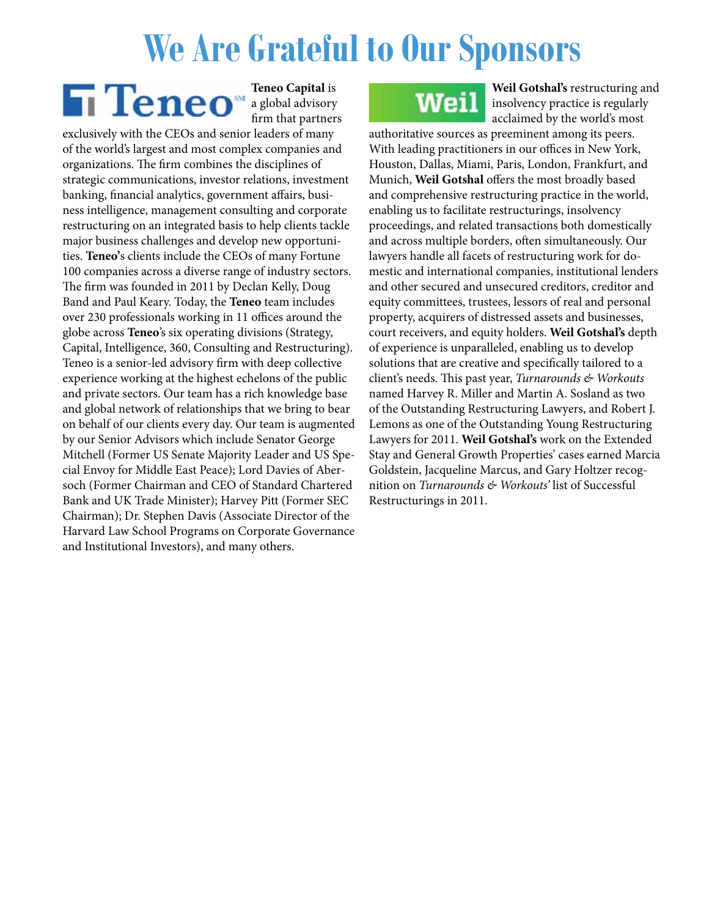### **We Are Grateful to Our Sponsors**

**Teneo Capital** is a global advisory firm that partners

exclusively with the CEOs and senior leaders of many of the world's largest and most complex companies and organizations. The firm combines the disciplines of strategic communications, investor relations, investment banking, financial analytics, government affairs, business intelligence, management consulting and corporate restructuring on an integrated basis to help clients tackle major business challenges and develop new opportunities. **Teneo'**s clients include the CEOs of many Fortune 100 companies across a diverse range of industry sectors. The firm was founded in 2011 by Declan Kelly, Doug Band and Paul Keary. Today, the **Teneo** team includes over 230 professionals working in 11 offices around the globe across **Teneo**'s six operating divisions (Strategy, Capital, Intelligence, 360, Consulting and Restructuring). Teneo is a senior-led advisory firm with deep collective experience working at the highest echelons of the public and private sectors. Our team has a rich knowledge base and global network of relationships that we bring to bear on behalf of our clients every day. Our team is augmented by our Senior Advisors which include Senator George Mitchell (Former US Senate Majority Leader and US Special Envoy for Middle East Peace); Lord Davies of Abersoch (Former Chairman and CEO of Standard Chartered Bank and UK Trade Minister); Harvey Pitt (Former SEC Chairman); Dr. Stephen Davis (Associate Director of the Harvard Law School Programs on Corporate Governance and Institutional Investors), and many others.

### **Weil**

**Weil Gotshal's** restructuring and insolvency practice is regularly acclaimed by the world's most

authoritative sources as preeminent among its peers. With leading practitioners in our offices in New York, Houston, Dallas, Miami, Paris, London, Frankfurt, and Munich, **Weil Gotshal** offers the most broadly based and comprehensive restructuring practice in the world, enabling us to facilitate restructurings, insolvency proceedings, and related transactions both domestically and across multiple borders, often simultaneously. Our lawyers handle all facets of restructuring work for domestic and international companies, institutional lenders and other secured and unsecured creditors, creditor and equity committees, trustees, lessors of real and personal property, acquirers of distressed assets and businesses, court receivers, and equity holders. **Weil Gotshal's** depth of experience is unparalleled, enabling us to develop solutions that are creative and specifically tailored to a client's needs. This past year, *Turnarounds & Workouts* named Harvey R. Miller and Martin A. Sosland as two of the Outstanding Restructuring Lawyers, and Robert J. Lemons as one of the Outstanding Young Restructuring Lawyers for 2011. **Weil Gotshal's** work on the Extended Stay and General Growth Properties' cases earned Marcia Goldstein, Jacqueline Marcus, and Gary Holtzer recognition on *Turnarounds & Workouts'* list of Successful Restructurings in 2011.